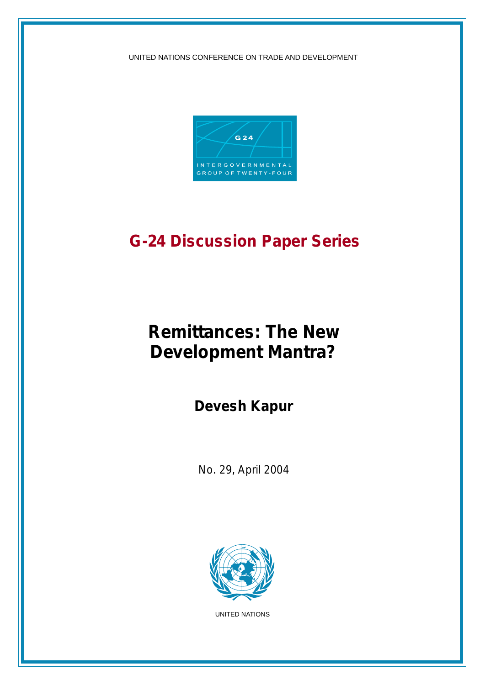UNITED NATIONS CONFERENCE ON TRADE AND DEVELOPMENT



## **G-24 Discussion Paper Series**

# **Remittances: The New Development Mantra?**

**Devesh Kapur**

*No. 29, April 2004*



UNITED NATIONS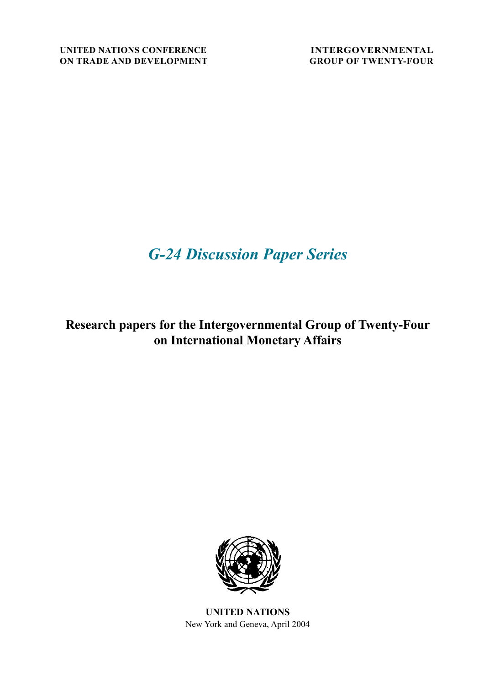## *G-24 Discussion Paper Series*

**Research papers for the Intergovernmental Group of Twenty-Four on International Monetary Affairs**



**UNITED NATIONS** New York and Geneva, April 2004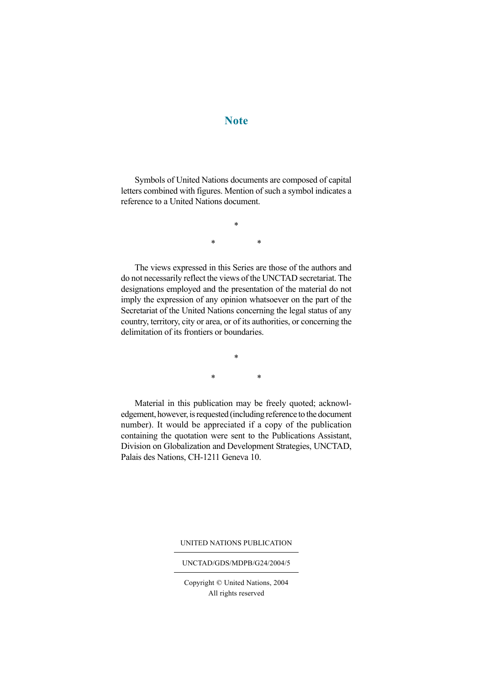## **Note**

Symbols of United Nations documents are composed of capital letters combined with figures. Mention of such a symbol indicates a reference to a United Nations document.

> \* \* \*

The views expressed in this Series are those of the authors and do not necessarily reflect the views of the UNCTAD secretariat. The designations employed and the presentation of the material do not imply the expression of any opinion whatsoever on the part of the Secretariat of the United Nations concerning the legal status of any country, territory, city or area, or of its authorities, or concerning the delimitation of its frontiers or boundaries.

> \* \* \*

Material in this publication may be freely quoted; acknowledgement, however, is requested (including reference to the document number). It would be appreciated if a copy of the publication containing the quotation were sent to the Publications Assistant, Division on Globalization and Development Strategies, UNCTAD, Palais des Nations, CH-1211 Geneva 10.

UNITED NATIONS PUBLICATION

#### UNCTAD/GDS/MDPB/G24/2004/5

Copyright © United Nations, 2004 All rights reserved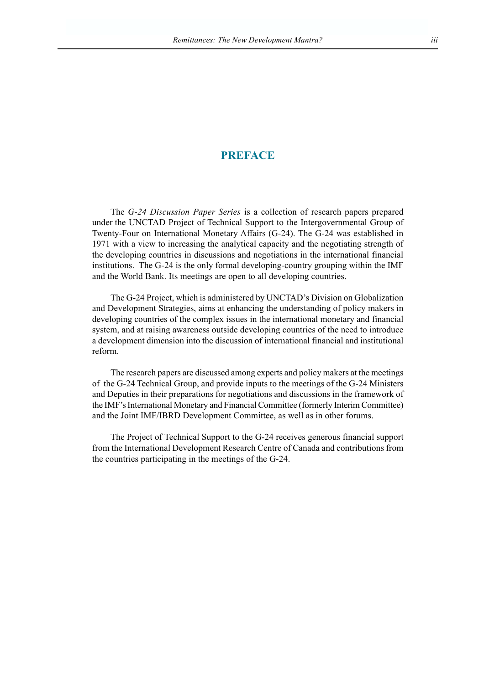## **PREFACE**

The *G-24 Discussion Paper Series* is a collection of research papers prepared under the UNCTAD Project of Technical Support to the Intergovernmental Group of Twenty-Four on International Monetary Affairs (G-24). The G-24 was established in 1971 with a view to increasing the analytical capacity and the negotiating strength of the developing countries in discussions and negotiations in the international financial institutions. The G-24 is the only formal developing-country grouping within the IMF and the World Bank. Its meetings are open to all developing countries.

The G-24 Project, which is administered by UNCTAD's Division on Globalization and Development Strategies, aims at enhancing the understanding of policy makers in developing countries of the complex issues in the international monetary and financial system, and at raising awareness outside developing countries of the need to introduce a development dimension into the discussion of international financial and institutional reform.

The research papers are discussed among experts and policy makers at the meetings of the G-24 Technical Group, and provide inputs to the meetings of the G-24 Ministers and Deputies in their preparations for negotiations and discussions in the framework of the IMF's International Monetary and Financial Committee (formerly Interim Committee) and the Joint IMF/IBRD Development Committee, as well as in other forums.

The Project of Technical Support to the G-24 receives generous financial support from the International Development Research Centre of Canada and contributions from the countries participating in the meetings of the G-24.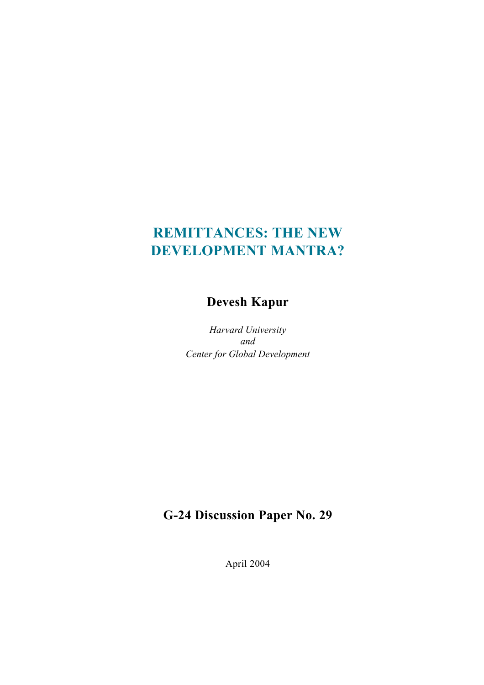## **REMITTANCES: THE NEW DEVELOPMENT MANTRA?**

## **Devesh Kapur**

*Harvard University and Center for Global Development*

## **G-24 Discussion Paper No. 29**

April 2004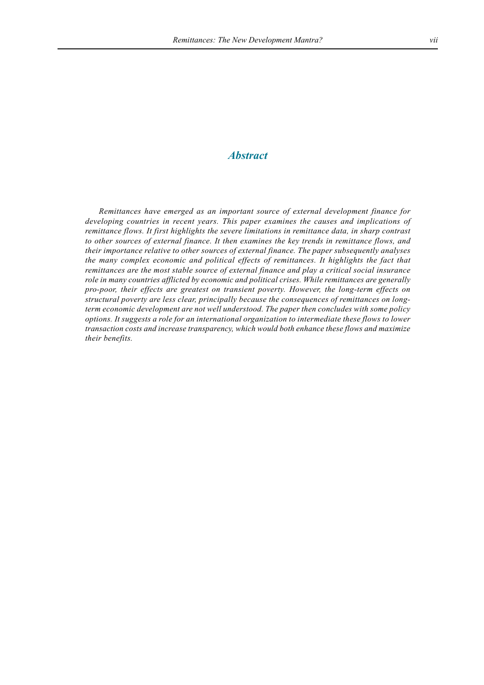### *Abstract*

*Remittances have emerged as an important source of external development finance for developing countries in recent years. This paper examines the causes and implications of remittance flows. It first highlights the severe limitations in remittance data, in sharp contrast to other sources of external finance. It then examines the key trends in remittance flows, and their importance relative to other sources of external finance. The paper subsequently analyses the many complex economic and political effects of remittances. It highlights the fact that remittances are the most stable source of external finance and play a critical social insurance role in many countries afflicted by economic and political crises. While remittances are generally pro-poor, their effects are greatest on transient poverty. However, the long-term effects on structural poverty are less clear, principally because the consequences of remittances on longterm economic development are not well understood. The paper then concludes with some policy options. It suggests a role for an international organization to intermediate these flows to lower transaction costs and increase transparency, which would both enhance these flows and maximize their benefits.*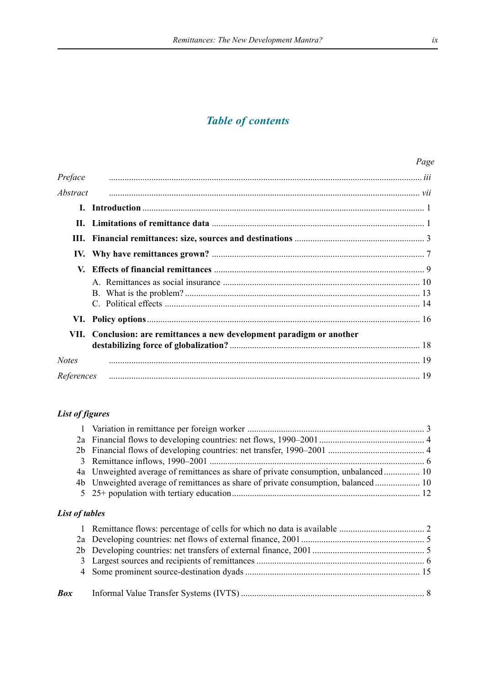## *Table of contents*

|                 |                                                                   | Page |
|-----------------|-------------------------------------------------------------------|------|
| Preface         |                                                                   |      |
| <i>Abstract</i> |                                                                   |      |
| L.              |                                                                   |      |
|                 |                                                                   |      |
|                 |                                                                   |      |
|                 |                                                                   |      |
|                 |                                                                   |      |
|                 |                                                                   |      |
|                 |                                                                   |      |
| VII.            | Conclusion: are remittances a new development paradigm or another |      |
| <b>Notes</b>    |                                                                   |      |
| References      |                                                                   |      |

### *List of figures*

| 3              |                                                                                     |  |
|----------------|-------------------------------------------------------------------------------------|--|
|                | 4a Unweighted average of remittances as share of private consumption, unbalanced 10 |  |
|                | 4b Unweighted average of remittances as share of private consumption, balanced 10   |  |
|                |                                                                                     |  |
| List of tables |                                                                                     |  |
|                |                                                                                     |  |
|                |                                                                                     |  |
|                |                                                                                     |  |
| 3              |                                                                                     |  |
|                |                                                                                     |  |
| <b>Box</b>     |                                                                                     |  |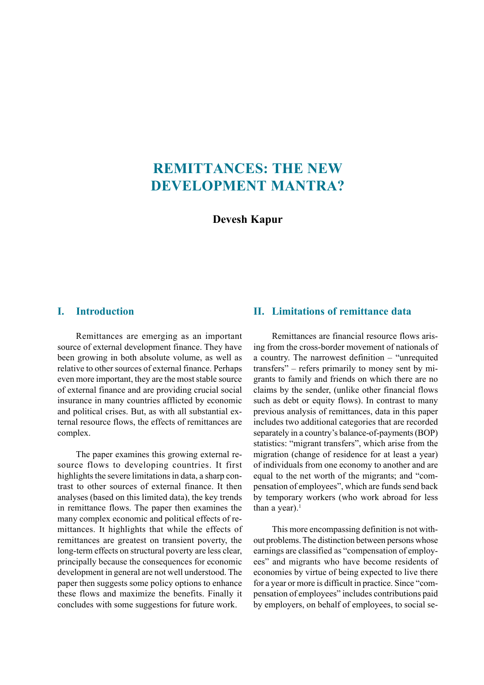## **REMITTANCES: THE NEW DEVELOPMENT MANTRA?**

**Devesh Kapur**

### **I. Introduction**

Remittances are emerging as an important source of external development finance. They have been growing in both absolute volume, as well as relative to other sources of external finance. Perhaps even more important, they are the most stable source of external finance and are providing crucial social insurance in many countries afflicted by economic and political crises. But, as with all substantial external resource flows, the effects of remittances are complex.

The paper examines this growing external resource flows to developing countries. It first highlights the severe limitations in data, a sharp contrast to other sources of external finance. It then analyses (based on this limited data), the key trends in remittance flows. The paper then examines the many complex economic and political effects of remittances. It highlights that while the effects of remittances are greatest on transient poverty, the long-term effects on structural poverty are less clear, principally because the consequences for economic development in general are not well understood. The paper then suggests some policy options to enhance these flows and maximize the benefits. Finally it concludes with some suggestions for future work.

### **II. Limitations of remittance data**

Remittances are financial resource flows arising from the cross-border movement of nationals of a country. The narrowest definition  $-$  "unrequited transfers" – refers primarily to money sent by migrants to family and friends on which there are no claims by the sender, (unlike other financial flows such as debt or equity flows). In contrast to many previous analysis of remittances, data in this paper includes two additional categories that are recorded separately in a country's balance-of-payments (BOP) statistics: "migrant transfers", which arise from the migration (change of residence for at least a year) of individuals from one economy to another and are equal to the net worth of the migrants; and "compensation of employees", which are funds send back by temporary workers (who work abroad for less than a year). $<sup>1</sup>$ </sup>

This more encompassing definition is not without problems. The distinction between persons whose earnings are classified as "compensation of employees" and migrants who have become residents of economies by virtue of being expected to live there for a year or more is difficult in practice. Since "compensation of employees" includes contributions paid by employers, on behalf of employees, to social se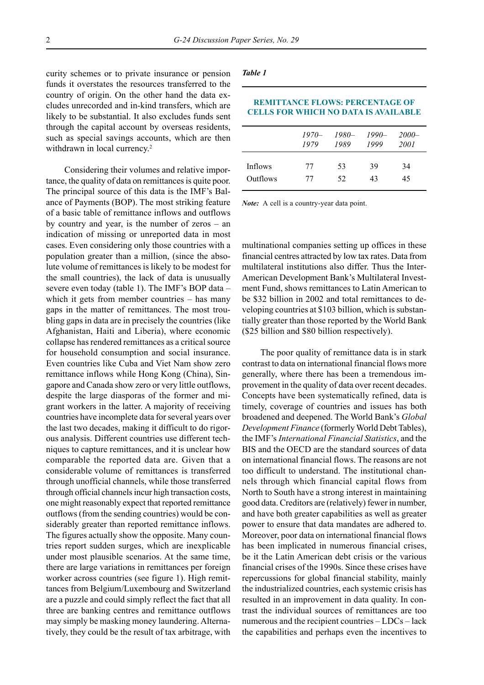curity schemes or to private insurance or pension funds it overstates the resources transferred to the country of origin. On the other hand the data excludes unrecorded and in-kind transfers, which are likely to be substantial. It also excludes funds sent through the capital account by overseas residents, such as special savings accounts, which are then withdrawn in local currency.<sup>2</sup>

Considering their volumes and relative importance, the quality of data on remittances is quite poor. The principal source of this data is the IMF's Balance of Payments (BOP). The most striking feature of a basic table of remittance inflows and outflows by country and year, is the number of zeros  $-$  an indication of missing or unreported data in most cases. Even considering only those countries with a population greater than a million, (since the absolute volume of remittances is likely to be modest for the small countries), the lack of data is unusually severe even today (table 1). The IMF's BOP data  $$ which it gets from member countries  $-$  has many gaps in the matter of remittances. The most troubling gaps in data are in precisely the countries (like Afghanistan, Haiti and Liberia), where economic collapse has rendered remittances as a critical source for household consumption and social insurance. Even countries like Cuba and Viet Nam show zero remittance inflows while Hong Kong (China), Singapore and Canada show zero or very little outflows, despite the large diasporas of the former and migrant workers in the latter. A majority of receiving countries have incomplete data for several years over the last two decades, making it difficult to do rigorous analysis. Different countries use different techniques to capture remittances, and it is unclear how comparable the reported data are. Given that a considerable volume of remittances is transferred through unofficial channels, while those transferred through official channels incur high transaction costs, one might reasonably expect that reported remittance outflows (from the sending countries) would be considerably greater than reported remittance inflows. The figures actually show the opposite. Many countries report sudden surges, which are inexplicable under most plausible scenarios. At the same time, there are large variations in remittances per foreign worker across countries (see figure 1). High remittances from Belgium/Luxembourg and Switzerland are a puzzle and could simply reflect the fact that all three are banking centres and remittance outflows may simply be masking money laundering. Alternatively, they could be the result of tax arbitrage, with

#### *Table 1*

| <b>CELLS FOR WHICH NO DATA IS AVAILABLE</b> |         |       |         |          |  |
|---------------------------------------------|---------|-------|---------|----------|--|
|                                             | $1970-$ | 1980— | $1990-$ | $2000 -$ |  |
|                                             | 1979    | 1989  | 1999    | 2001     |  |
| Inflows                                     | 77      | 53    | 39      | 34       |  |
| Outflows                                    | 77      | 52.   | 43      | 45       |  |

**REMITTANCE FLOWS: PERCENTAGE OF**

*Note:* A cell is a country-year data point.

multinational companies setting up offices in these financial centres attracted by low tax rates. Data from multilateral institutions also differ. Thus the Inter-American Development Bank's Multilateral Investment Fund, shows remittances to Latin American to be \$32 billion in 2002 and total remittances to developing countries at \$103 billion, which is substantially greater than those reported by the World Bank (\$25 billion and \$80 billion respectively).

The poor quality of remittance data is in stark contrast to data on international financial flows more generally, where there has been a tremendous improvement in the quality of data over recent decades. Concepts have been systematically refined, data is timely, coverage of countries and issues has both broadened and deepened. The World Bank's *Global Development Finance* (formerly World Debt Tables), the IMF's *International Financial Statistics*, and the BIS and the OECD are the standard sources of data on international financial flows. The reasons are not too difficult to understand. The institutional channels through which financial capital flows from North to South have a strong interest in maintaining good data. Creditors are (relatively) fewer in number, and have both greater capabilities as well as greater power to ensure that data mandates are adhered to. Moreover, poor data on international financial flows has been implicated in numerous financial crises, be it the Latin American debt crisis or the various financial crises of the 1990s. Since these crises have repercussions for global financial stability, mainly the industrialized countries, each systemic crisis has resulted in an improvement in data quality. In contrast the individual sources of remittances are too numerous and the recipient countries  $-LDCs - lack$ the capabilities and perhaps even the incentives to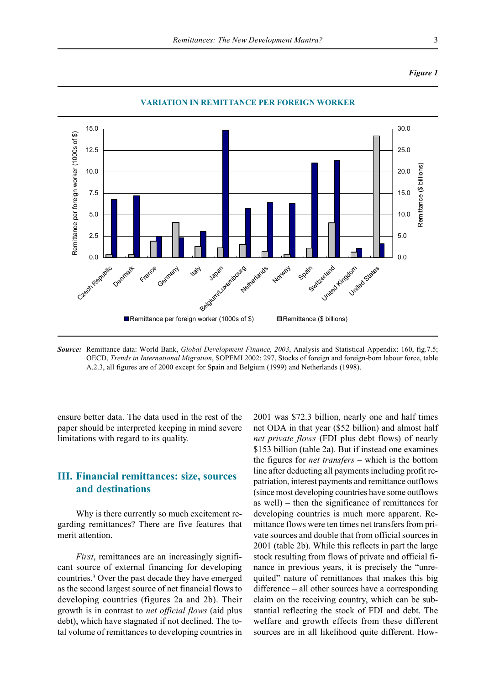#### *Figure 1*



**VARIATION IN REMITTANCE PER FOREIGN WORKER**

*Source:* Remittance data: World Bank, *Global Development Finance, 2003*, Analysis and Statistical Appendix: 160, fig.7.5; OECD, *Trends in International Migration*, SOPEMI 2002: 297, Stocks of foreign and foreign-born labour force, table A.2.3, all figures are of 2000 except for Spain and Belgium (1999) and Netherlands (1998).

ensure better data. The data used in the rest of the paper should be interpreted keeping in mind severe limitations with regard to its quality.

## **III. Financial remittances: size, sources and destinations**

Why is there currently so much excitement regarding remittances? There are five features that merit attention.

*First*, remittances are an increasingly significant source of external financing for developing countries.3 Over the past decade they have emerged as the second largest source of net financial flows to developing countries (figures 2a and 2b). Their growth is in contrast to *net official flows* (aid plus debt), which have stagnated if not declined. The total volume of remittances to developing countries in 2001 was \$72.3 billion, nearly one and half times net ODA in that year (\$52 billion) and almost half *net private flows* (FDI plus debt flows) of nearly \$153 billion (table 2a). But if instead one examines the figures for *net transfers* – which is the bottom line after deducting all payments including profit repatriation, interest payments and remittance outflows (since most developing countries have some outflows as well)  $-$  then the significance of remittances for developing countries is much more apparent. Remittance flows were ten times net transfers from private sources and double that from official sources in 2001 (table 2b). While this reflects in part the large stock resulting from flows of private and official finance in previous years, it is precisely the "unrequited" nature of remittances that makes this big difference  $-$  all other sources have a corresponding claim on the receiving country, which can be substantial reflecting the stock of FDI and debt. The welfare and growth effects from these different sources are in all likelihood quite different. How-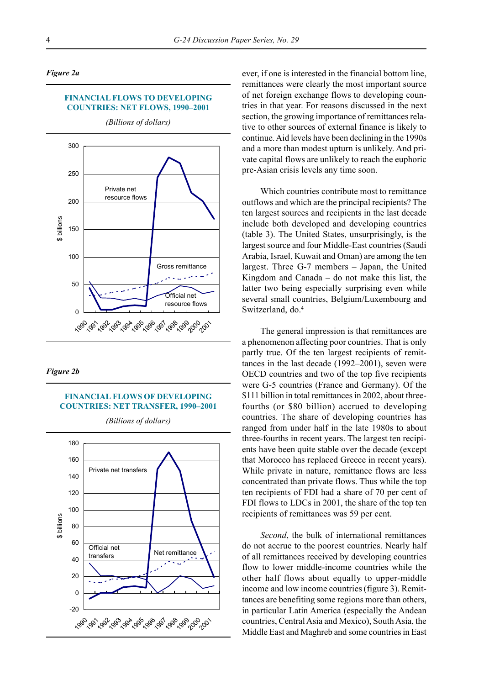#### *Figure 2a*

#### **FINANCIAL FLOWS TO DEVELOPING COUNTRIES: NET FLOWS, 1990-2001**



*(Billions of dollars)*

#### *Figure 2b*

#### **FINANCIAL FLOWS OF DEVELOPING COUNTRIES: NET TRANSFER, 1990-2001**



ever, if one is interested in the financial bottom line, remittances were clearly the most important source of net foreign exchange flows to developing countries in that year. For reasons discussed in the next section, the growing importance of remittances relative to other sources of external finance is likely to continue. Aid levels have been declining in the 1990s and a more than modest upturn is unlikely. And private capital flows are unlikely to reach the euphoric pre-Asian crisis levels any time soon.

Which countries contribute most to remittance outflows and which are the principal recipients? The ten largest sources and recipients in the last decade include both developed and developing countries (table 3). The United States, unsurprisingly, is the largest source and four Middle-East countries (Saudi Arabia, Israel, Kuwait and Oman) are among the ten largest. Three  $G-7$  members  $-$  Japan, the United Kingdom and Canada  $-$  do not make this list, the latter two being especially surprising even while several small countries, Belgium/Luxembourg and Switzerland, do.<sup>4</sup>

The general impression is that remittances are a phenomenon affecting poor countries. That is only partly true. Of the ten largest recipients of remittances in the last decade  $(1992-2001)$ , seven were OECD countries and two of the top five recipients were G-5 countries (France and Germany). Of the \$111 billion in total remittances in 2002, about threefourths (or \$80 billion) accrued to developing countries. The share of developing countries has ranged from under half in the late 1980s to about three-fourths in recent years. The largest ten recipients have been quite stable over the decade (except that Morocco has replaced Greece in recent years). While private in nature, remittance flows are less concentrated than private flows. Thus while the top ten recipients of FDI had a share of 70 per cent of FDI flows to LDCs in 2001, the share of the top ten recipients of remittances was 59 per cent.

*Second*, the bulk of international remittances do not accrue to the poorest countries. Nearly half of all remittances received by developing countries flow to lower middle-income countries while the other half flows about equally to upper-middle income and low income countries (figure 3). Remittances are benefiting some regions more than others, in particular Latin America (especially the Andean countries, Central Asia and Mexico), South Asia, the Middle East and Maghreb and some countries in East

*(Billions of dollars)*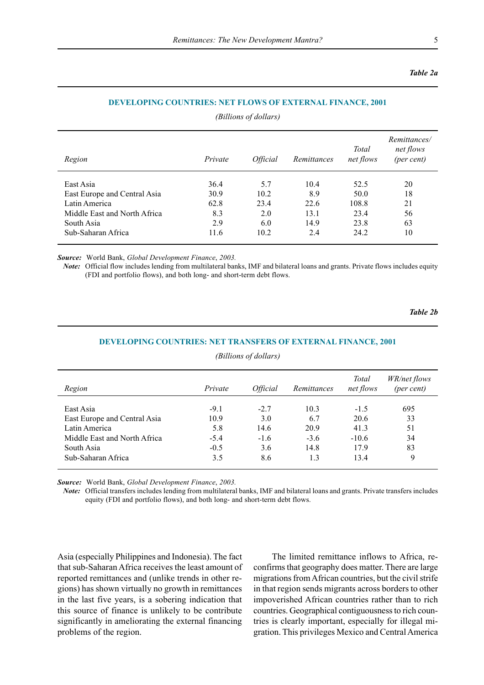#### *Table 2a*

#### **DEVELOPING COUNTRIES: NET FLOWS OF EXTERNAL FINANCE, 2001**

*(Billions of dollars)*

| Region                       | Private | <i><b>Official</b></i> | Remittances | Total<br>net flows | Remittances/<br>net flows<br>(per cent) |
|------------------------------|---------|------------------------|-------------|--------------------|-----------------------------------------|
| East Asia                    | 36.4    | 5.7                    | 10.4        | 52.5               | 20                                      |
| East Europe and Central Asia | 30.9    | 10.2                   | 8.9         | 50.0               | 18                                      |
| Latin America                | 62.8    | 23.4                   | 22.6        | 108.8              | 21                                      |
| Middle East and North Africa | 8.3     | 2.0                    | 13.1        | 23.4               | 56                                      |
| South Asia                   | 2.9     | 6.0                    | 14.9        | 23.8               | 63                                      |
| Sub-Saharan Africa           | 11.6    | 10.2                   | 2.4         | 24.2               | 10                                      |

*Source:* World Bank, *Global Development Finance*, *2003.*

*Note:* Official flow includes lending from multilateral banks, IMF and bilateral loans and grants. Private flows includes equity (FDI and portfolio flows), and both long- and short-term debt flows.

*Table 2b*

| Region                       | Private | <i><b>Official</b></i> | Remittances | Total<br>net flows | <i>WR/net flows</i><br>(per cent) |
|------------------------------|---------|------------------------|-------------|--------------------|-----------------------------------|
| East Asia                    | $-9.1$  | $-2.7$                 | 10.3        | $-1.5$             | 695                               |
| East Europe and Central Asia | 10.9    | 3.0                    | 6.7         | 20.6               | 33                                |
| Latin America                | 5.8     | 14.6                   | 20.9        | 41.3               | 51                                |
| Middle East and North Africa | $-5.4$  | $-1.6$                 | $-3.6$      | $-10.6$            | 34                                |
| South Asia                   | $-0.5$  | 3.6                    | 14.8        | 17.9               | 83                                |
| Sub-Saharan Africa           | 3.5     | 8.6                    | 1.3         | 13.4               | 9                                 |

## **DEVELOPING COUNTRIES: NET TRANSFERS OF EXTERNAL FINANCE, 2001** *(Billions of dollars)*

*Source:* World Bank, *Global Development Finance*, *2003.*

*Note:* Official transfers includes lending from multilateral banks, IMF and bilateral loans and grants. Private transfers includes equity (FDI and portfolio flows), and both long- and short-term debt flows.

Asia (especially Philippines and Indonesia). The fact that sub-Saharan Africa receives the least amount of reported remittances and (unlike trends in other regions) has shown virtually no growth in remittances in the last five years, is a sobering indication that this source of finance is unlikely to be contribute significantly in ameliorating the external financing problems of the region.

The limited remittance inflows to Africa, reconfirms that geography does matter. There are large migrations from African countries, but the civil strife in that region sends migrants across borders to other impoverished African countries rather than to rich countries. Geographical contiguousness to rich countries is clearly important, especially for illegal migration. This privileges Mexico and Central America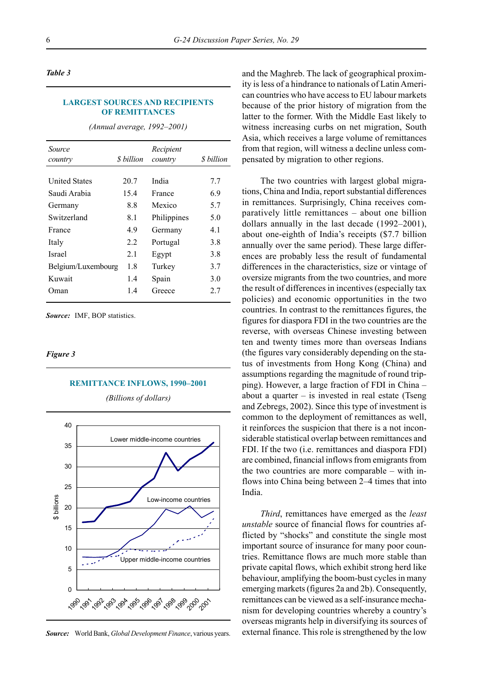#### *Table 3*

#### **LARGEST SOURCES AND RECIPIENTS OF REMITTANCES**

*(Annual average, 1992–2001)* 

| Source<br>country    | <i>S</i> billion | Recipient<br>country | \$ billion |
|----------------------|------------------|----------------------|------------|
| <b>United States</b> | 20.7             | India                | 7.7        |
| Saudi Arabia         | 15.4             | France               | 6.9        |
| Germany              | 8.8              | Mexico               | 5.7        |
| Switzerland          | 8.1              | Philippines          | 5.0        |
| France               | 4.9              | Germany              | 4.1        |
| Italy                | 2.2              | Portugal             | 3.8        |
| <b>Israel</b>        | 21               | Egypt                | 3.8        |
| Belgium/Luxembourg   | 1.8              | Turkey               | 3.7        |
| Kuwait               | 1.4              | Spain                | 3.0        |
| Oman)                | 14               | Greece               | 2.7        |

*Source:* IMF, BOP statistics.

#### *Figure 3*

#### **REMITTANCE INFLOWS, 1990-2001**



*(Billions of dollars)*

*Source:* World Bank, *Global Development Finance*, various years.

and the Maghreb. The lack of geographical proximity is less of a hindrance to nationals of Latin American countries who have access to EU labour markets because of the prior history of migration from the latter to the former. With the Middle East likely to witness increasing curbs on net migration, South Asia, which receives a large volume of remittances from that region, will witness a decline unless compensated by migration to other regions.

The two countries with largest global migrations, China and India, report substantial differences in remittances. Surprisingly, China receives comparatively little remittances – about one billion dollars annually in the last decade  $(1992-2001)$ , about one-eighth of India's receipts (\$7.7 billion annually over the same period). These large differences are probably less the result of fundamental differences in the characteristics, size or vintage of oversize migrants from the two countries, and more the result of differences in incentives (especially tax policies) and economic opportunities in the two countries. In contrast to the remittances figures, the figures for diaspora FDI in the two countries are the reverse, with overseas Chinese investing between ten and twenty times more than overseas Indians (the figures vary considerably depending on the status of investments from Hong Kong (China) and assumptions regarding the magnitude of round tripping). However, a large fraction of FDI in China ñ about a quarter  $-$  is invested in real estate (Tseng and Zebregs, 2002). Since this type of investment is common to the deployment of remittances as well, it reinforces the suspicion that there is a not inconsiderable statistical overlap between remittances and FDI. If the two (i.e. remittances and diaspora FDI) are combined, financial inflows from emigrants from the two countries are more comparable  $-$  with inflows into China being between 2–4 times that into India.

*Third*, remittances have emerged as the *least unstable* source of financial flows for countries afflicted by "shocks" and constitute the single most important source of insurance for many poor countries. Remittance flows are much more stable than private capital flows, which exhibit strong herd like behaviour, amplifying the boom-bust cycles in many emerging markets (figures 2a and 2b). Consequently, remittances can be viewed as a self-insurance mechanism for developing countries whereby a country's overseas migrants help in diversifying its sources of external finance. This role is strengthened by the low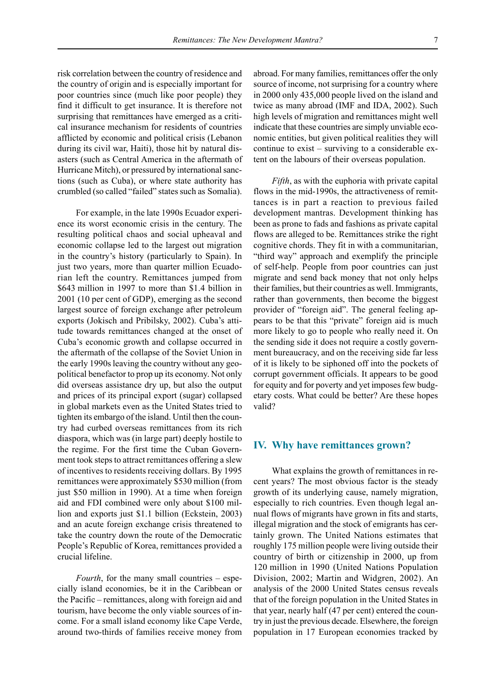risk correlation between the country of residence and the country of origin and is especially important for poor countries since (much like poor people) they find it difficult to get insurance. It is therefore not surprising that remittances have emerged as a critical insurance mechanism for residents of countries afflicted by economic and political crisis (Lebanon during its civil war, Haiti), those hit by natural disasters (such as Central America in the aftermath of Hurricane Mitch), or pressured by international sanctions (such as Cuba), or where state authority has crumbled (so called "failed" states such as Somalia).

For example, in the late 1990s Ecuador experience its worst economic crisis in the century. The resulting political chaos and social upheaval and economic collapse led to the largest out migration in the country's history (particularly to Spain). In just two years, more than quarter million Ecuadorian left the country. Remittances jumped from \$643 million in 1997 to more than \$1.4 billion in 2001 (10 per cent of GDP), emerging as the second largest source of foreign exchange after petroleum exports (Jokisch and Pribilsky, 2002). Cuba's attitude towards remittances changed at the onset of Cuba's economic growth and collapse occurred in the aftermath of the collapse of the Soviet Union in the early 1990s leaving the country without any geopolitical benefactor to prop up its economy. Not only did overseas assistance dry up, but also the output and prices of its principal export (sugar) collapsed in global markets even as the United States tried to tighten its embargo of the island. Until then the country had curbed overseas remittances from its rich diaspora, which was (in large part) deeply hostile to the regime. For the first time the Cuban Government took steps to attract remittances offering a slew of incentives to residents receiving dollars. By 1995 remittances were approximately \$530 million (from just \$50 million in 1990). At a time when foreign aid and FDI combined were only about \$100 million and exports just \$1.1 billion (Eckstein, 2003) and an acute foreign exchange crisis threatened to take the country down the route of the Democratic People's Republic of Korea, remittances provided a crucial lifeline.

*Fourth*, for the many small countries  $-$  especially island economies, be it in the Caribbean or the Pacific – remittances, along with foreign aid and tourism, have become the only viable sources of income. For a small island economy like Cape Verde, around two-thirds of families receive money from

abroad. For many families, remittances offer the only source of income, not surprising for a country where in 2000 only 435,000 people lived on the island and twice as many abroad (IMF and IDA, 2002). Such high levels of migration and remittances might well indicate that these countries are simply unviable economic entities, but given political realities they will continue to exist  $-$  surviving to a considerable extent on the labours of their overseas population.

*Fifth*, as with the euphoria with private capital flows in the mid-1990s, the attractiveness of remittances is in part a reaction to previous failed development mantras. Development thinking has been as prone to fads and fashions as private capital flows are alleged to be. Remittances strike the right cognitive chords. They fit in with a communitarian, "third way" approach and exemplify the principle" of self-help. People from poor countries can just migrate and send back money that not only helps their families, but their countries as well. Immigrants, rather than governments, then become the biggest provider of "foreign aid". The general feeling appears to be that this "private" foreign aid is much more likely to go to people who really need it. On the sending side it does not require a costly government bureaucracy, and on the receiving side far less of it is likely to be siphoned off into the pockets of corrupt government officials. It appears to be good for equity and for poverty and yet imposes few budgetary costs. What could be better? Are these hopes valid?

#### **IV. Why have remittances grown?**

What explains the growth of remittances in recent years? The most obvious factor is the steady growth of its underlying cause, namely migration, especially to rich countries. Even though legal annual flows of migrants have grown in fits and starts, illegal migration and the stock of emigrants has certainly grown. The United Nations estimates that roughly 175 million people were living outside their country of birth or citizenship in 2000, up from 120 million in 1990 (United Nations Population Division, 2002; Martin and Widgren, 2002). An analysis of the 2000 United States census reveals that of the foreign population in the United States in that year, nearly half (47 per cent) entered the country in just the previous decade. Elsewhere, the foreign population in 17 European economies tracked by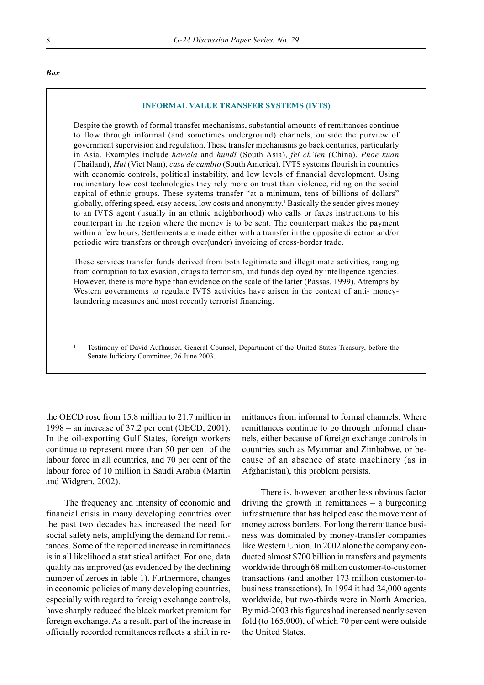#### *Box*

#### **INFORMAL VALUE TRANSFER SYSTEMS (IVTS)**

Despite the growth of formal transfer mechanisms, substantial amounts of remittances continue to flow through informal (and sometimes underground) channels, outside the purview of government supervision and regulation. These transfer mechanisms go back centuries, particularly in Asia. Examples include *hawala* and *hundi* (South Asia), *fei chíien* (China), *Phoe kuan* (Thailand), *Hui* (Viet Nam), *casa de cambio* (South America). IVTS systems flourish in countries with economic controls, political instability, and low levels of financial development. Using rudimentary low cost technologies they rely more on trust than violence, riding on the social capital of ethnic groups. These systems transfer "at a minimum, tens of billions of dollars" globally, offering speed, easy access, low costs and anonymity.<sup>1</sup> Basically the sender gives money to an IVTS agent (usually in an ethnic neighborhood) who calls or faxes instructions to his counterpart in the region where the money is to be sent. The counterpart makes the payment within a few hours. Settlements are made either with a transfer in the opposite direction and/or periodic wire transfers or through over(under) invoicing of cross-border trade.

These services transfer funds derived from both legitimate and illegitimate activities, ranging from corruption to tax evasion, drugs to terrorism, and funds deployed by intelligence agencies. However, there is more hype than evidence on the scale of the latter (Passas, 1999). Attempts by Western governments to regulate IVTS activities have arisen in the context of anti- moneylaundering measures and most recently terrorist financing.

<sup>1</sup> Testimony of David Aufhauser, General Counsel, Department of the United States Treasury, before the Senate Judiciary Committee, 26 June 2003.

the OECD rose from 15.8 million to 21.7 million in  $1998 -$  an increase of 37.2 per cent (OECD, 2001). In the oil-exporting Gulf States, foreign workers continue to represent more than 50 per cent of the labour force in all countries, and 70 per cent of the labour force of 10 million in Saudi Arabia (Martin and Widgren, 2002).

The frequency and intensity of economic and financial crisis in many developing countries over the past two decades has increased the need for social safety nets, amplifying the demand for remittances. Some of the reported increase in remittances is in all likelihood a statistical artifact. For one, data quality has improved (as evidenced by the declining number of zeroes in table 1). Furthermore, changes in economic policies of many developing countries, especially with regard to foreign exchange controls, have sharply reduced the black market premium for foreign exchange. As a result, part of the increase in officially recorded remittances reflects a shift in remittances from informal to formal channels. Where remittances continue to go through informal channels, either because of foreign exchange controls in countries such as Myanmar and Zimbabwe, or because of an absence of state machinery (as in Afghanistan), this problem persists.

There is, however, another less obvious factor driving the growth in remittances  $-$  a burgeoning infrastructure that has helped ease the movement of money across borders. For long the remittance business was dominated by money-transfer companies like Western Union. In 2002 alone the company conducted almost \$700 billion in transfers and payments worldwide through 68 million customer-to-customer transactions (and another 173 million customer-tobusiness transactions). In 1994 it had 24,000 agents worldwide, but two-thirds were in North America. By mid-2003 this figures had increased nearly seven fold (to 165,000), of which 70 per cent were outside the United States.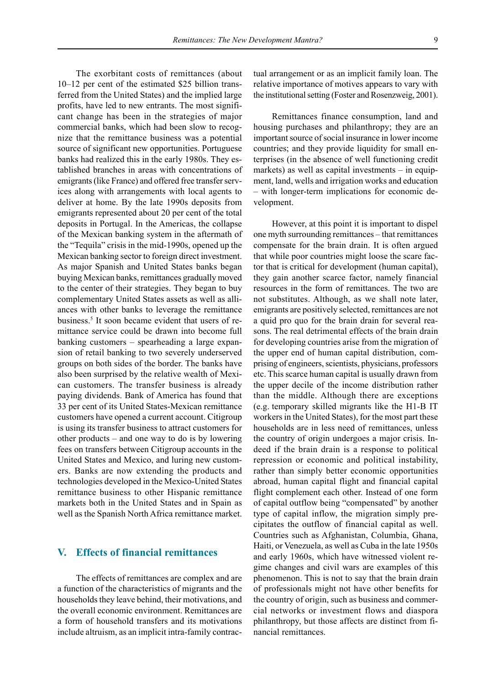The exorbitant costs of remittances (about  $10-12$  per cent of the estimated \$25 billion transferred from the United States) and the implied large profits, have led to new entrants. The most significant change has been in the strategies of major commercial banks, which had been slow to recognize that the remittance business was a potential source of significant new opportunities. Portuguese banks had realized this in the early 1980s. They established branches in areas with concentrations of emigrants (like France) and offered free transfer services along with arrangements with local agents to deliver at home. By the late 1990s deposits from emigrants represented about 20 per cent of the total deposits in Portugal. In the Americas, the collapse of the Mexican banking system in the aftermath of the "Tequila" crisis in the mid-1990s, opened up the Mexican banking sector to foreign direct investment. As major Spanish and United States banks began buying Mexican banks, remittances gradually moved to the center of their strategies. They began to buy complementary United States assets as well as alliances with other banks to leverage the remittance business.<sup>5</sup> It soon became evident that users of remittance service could be drawn into become full banking customers  $-$  spearheading a large expansion of retail banking to two severely underserved groups on both sides of the border. The banks have also been surprised by the relative wealth of Mexican customers. The transfer business is already paying dividends. Bank of America has found that 33 per cent of its United States-Mexican remittance customers have opened a current account. Citigroup is using its transfer business to attract customers for other products  $-$  and one way to do is by lowering fees on transfers between Citigroup accounts in the United States and Mexico, and luring new customers. Banks are now extending the products and technologies developed in the Mexico-United States remittance business to other Hispanic remittance markets both in the United States and in Spain as well as the Spanish North Africa remittance market.

### **V. Effects of financial remittances**

The effects of remittances are complex and are a function of the characteristics of migrants and the households they leave behind, their motivations, and the overall economic environment. Remittances are a form of household transfers and its motivations include altruism, as an implicit intra-family contractual arrangement or as an implicit family loan. The relative importance of motives appears to vary with the institutional setting (Foster and Rosenzweig, 2001).

Remittances finance consumption, land and housing purchases and philanthropy; they are an important source of social insurance in lower income countries; and they provide liquidity for small enterprises (in the absence of well functioning credit markets) as well as capital investments  $-$  in equipment, land, wells and irrigation works and education – with longer-term implications for economic development.

However, at this point it is important to dispel one myth surrounding remittances – that remittances compensate for the brain drain. It is often argued that while poor countries might loose the scare factor that is critical for development (human capital), they gain another scarce factor, namely financial resources in the form of remittances. The two are not substitutes. Although, as we shall note later, emigrants are positively selected, remittances are not a quid pro quo for the brain drain for several reasons. The real detrimental effects of the brain drain for developing countries arise from the migration of the upper end of human capital distribution, comprising of engineers, scientists, physicians, professors etc. This scarce human capital is usually drawn from the upper decile of the income distribution rather than the middle. Although there are exceptions (e.g. temporary skilled migrants like the H1-B IT workers in the United States), for the most part these households are in less need of remittances, unless the country of origin undergoes a major crisis. Indeed if the brain drain is a response to political repression or economic and political instability, rather than simply better economic opportunities abroad, human capital flight and financial capital flight complement each other. Instead of one form of capital outflow being "compensated" by another type of capital inflow, the migration simply precipitates the outflow of financial capital as well. Countries such as Afghanistan, Columbia, Ghana, Haiti, or Venezuela, as well as Cuba in the late 1950s and early 1960s, which have witnessed violent regime changes and civil wars are examples of this phenomenon. This is not to say that the brain drain of professionals might not have other benefits for the country of origin, such as business and commercial networks or investment flows and diaspora philanthropy, but those affects are distinct from financial remittances.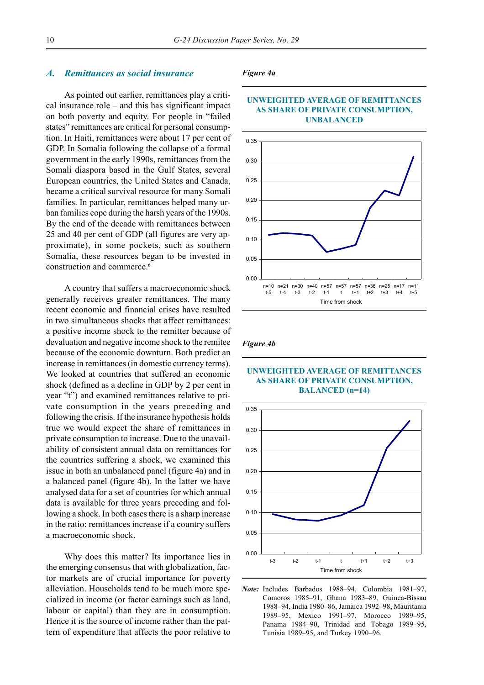#### *A. Remittances as social insurance*

As pointed out earlier, remittances play a critical insurance role  $-$  and this has significant impact on both poverty and equity. For people in "failed" states" remittances are critical for personal consumption. In Haiti, remittances were about 17 per cent of GDP. In Somalia following the collapse of a formal government in the early 1990s, remittances from the Somali diaspora based in the Gulf States, several European countries, the United States and Canada, became a critical survival resource for many Somali families. In particular, remittances helped many urban families cope during the harsh years of the 1990s. By the end of the decade with remittances between 25 and 40 per cent of GDP (all figures are very approximate), in some pockets, such as southern Somalia, these resources began to be invested in construction and commerce.6

A country that suffers a macroeconomic shock generally receives greater remittances. The many recent economic and financial crises have resulted in two simultaneous shocks that affect remittances: a positive income shock to the remitter because of devaluation and negative income shock to the remitee because of the economic downturn. Both predict an increase in remittances (in domestic currency terms). We looked at countries that suffered an economic shock (defined as a decline in GDP by 2 per cent in year "t") and examined remittances relative to private consumption in the years preceding and following the crisis. If the insurance hypothesis holds true we would expect the share of remittances in private consumption to increase. Due to the unavailability of consistent annual data on remittances for the countries suffering a shock, we examined this issue in both an unbalanced panel (figure 4a) and in a balanced panel (figure 4b). In the latter we have analysed data for a set of countries for which annual data is available for three years preceding and following a shock. In both cases there is a sharp increase in the ratio: remittances increase if a country suffers a macroeconomic shock.

Why does this matter? Its importance lies in the emerging consensus that with globalization, factor markets are of crucial importance for poverty alleviation. Households tend to be much more specialized in income (or factor earnings such as land, labour or capital) than they are in consumption. Hence it is the source of income rather than the pattern of expenditure that affects the poor relative to

#### *Figure 4a*



#### **UNWEIGHTED AVERAGE OF REMITTANCES AS SHARE OF PRIVATE CONSUMPTION, UNBALANCED**

#### *Figure 4b*

#### **UNWEIGHTED AVERAGE OF REMITTANCES AS SHARE OF PRIVATE CONSUMPTION, BALANCED (n=14)**



*Note:* Includes Barbados 1988–94, Colombia 1981–97, Comoros 1985-91, Ghana 1983-89, Guinea-Bissau 1988-94, India 1980-86, Jamaica 1992-98, Mauritania 1989–95, Mexico 1991–97, Morocco 1989–95, Panama 1984–90, Trinidad and Tobago 1989–95, Tunisia 1989-95, and Turkey 1990-96.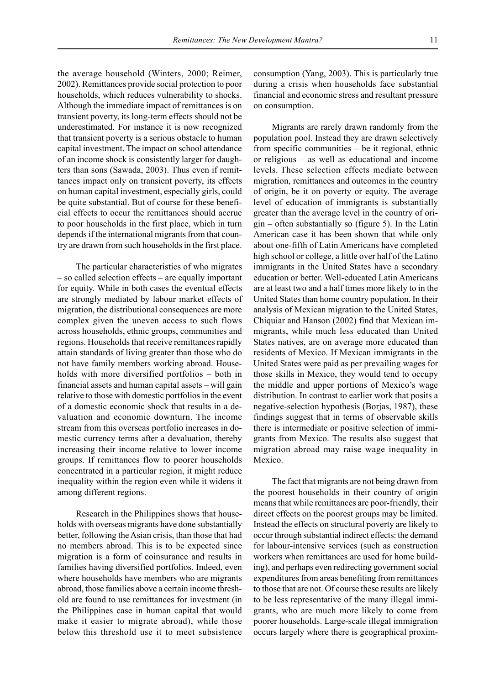the average household (Winters, 2000; Reimer, 2002). Remittances provide social protection to poor households, which reduces vulnerability to shocks. Although the immediate impact of remittances is on transient poverty, its long-term effects should not be underestimated. For instance it is now recognized that transient poverty is a serious obstacle to human capital investment. The impact on school attendance of an income shock is consistently larger for daughters than sons (Sawada, 2003). Thus even if remittances impact only on transient poverty, its effects on human capital investment, especially girls, could be quite substantial. But of course for these beneficial effects to occur the remittances should accrue to poor households in the first place, which in turn depends if the international migrants from that country are drawn from such households in the first place.

The particular characteristics of who migrates  $-$  so called selection effects  $-$  are equally important for equity. While in both cases the eventual effects are strongly mediated by labour market effects of migration, the distributional consequences are more complex given the uneven access to such flows across households, ethnic groups, communities and regions. Households that receive remittances rapidly attain standards of living greater than those who do not have family members working abroad. Households with more diversified portfolios  $-$  both in financial assets and human capital assets  $-\text{ will gain}$ relative to those with domestic portfolios in the event of a domestic economic shock that results in a devaluation and economic downturn. The income stream from this overseas portfolio increases in domestic currency terms after a devaluation, thereby increasing their income relative to lower income groups. If remittances flow to poorer households concentrated in a particular region, it might reduce inequality within the region even while it widens it among different regions.

Research in the Philippines shows that households with overseas migrants have done substantially better, following the Asian crisis, than those that had no members abroad. This is to be expected since migration is a form of coinsurance and results in families having diversified portfolios. Indeed, even where households have members who are migrants abroad, those families above a certain income threshold are found to use remittances for investment (in the Philippines case in human capital that would make it easier to migrate abroad), while those below this threshold use it to meet subsistence consumption (Yang, 2003). This is particularly true during a crisis when households face substantial financial and economic stress and resultant pressure on consumption.

Migrants are rarely drawn randomly from the population pool. Instead they are drawn selectively from specific communities  $-$  be it regional, ethnic or religious  $-$  as well as educational and income levels. These selection effects mediate between migration, remittances and outcomes in the country of origin, be it on poverty or equity. The average level of education of immigrants is substantially greater than the average level in the country of ori- $\sin$  – often substantially so (figure 5). In the Latin American case it has been shown that while only about one-fifth of Latin Americans have completed high school or college, a little over half of the Latino immigrants in the United States have a secondary education or better. Well-educated Latin Americans are at least two and a half times more likely to in the United States than home country population. In their analysis of Mexican migration to the United States, Chiquiar and Hanson (2002) find that Mexican immigrants, while much less educated than United States natives, are on average more educated than residents of Mexico. If Mexican immigrants in the United States were paid as per prevailing wages for those skills in Mexico, they would tend to occupy the middle and upper portions of Mexico's wage distribution. In contrast to earlier work that posits a negative-selection hypothesis (Borjas, 1987), these findings suggest that in terms of observable skills there is intermediate or positive selection of immigrants from Mexico. The results also suggest that migration abroad may raise wage inequality in Mexico.

The fact that migrants are not being drawn from the poorest households in their country of origin means that while remittances are poor-friendly, their direct effects on the poorest groups may be limited. Instead the effects on structural poverty are likely to occur through substantial indirect effects: the demand for labour-intensive services (such as construction workers when remittances are used for home building), and perhaps even redirecting government social expenditures from areas benefiting from remittances to those that are not. Of course these results are likely to be less representative of the many illegal immigrants, who are much more likely to come from poorer households. Large-scale illegal immigration occurs largely where there is geographical proxim-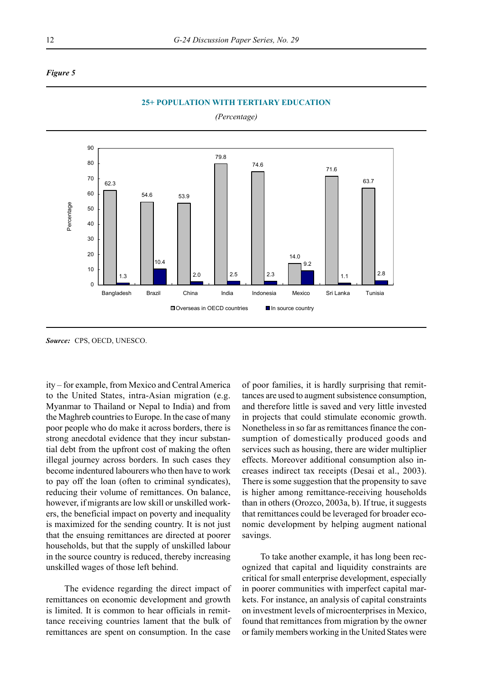



**25+ POPULATION WITH TERTIARY EDUCATION**

*(Percentage)*

*Source:* CPS, OECD, UNESCO.

ity – for example, from Mexico and Central America to the United States, intra-Asian migration (e.g. Myanmar to Thailand or Nepal to India) and from the Maghreb countries to Europe. In the case of many poor people who do make it across borders, there is strong anecdotal evidence that they incur substantial debt from the upfront cost of making the often illegal journey across borders. In such cases they become indentured labourers who then have to work to pay off the loan (often to criminal syndicates), reducing their volume of remittances. On balance, however, if migrants are low skill or unskilled workers, the beneficial impact on poverty and inequality is maximized for the sending country. It is not just that the ensuing remittances are directed at poorer households, but that the supply of unskilled labour in the source country is reduced, thereby increasing unskilled wages of those left behind.

The evidence regarding the direct impact of remittances on economic development and growth is limited. It is common to hear officials in remittance receiving countries lament that the bulk of remittances are spent on consumption. In the case

of poor families, it is hardly surprising that remittances are used to augment subsistence consumption, and therefore little is saved and very little invested in projects that could stimulate economic growth. Nonetheless in so far as remittances finance the consumption of domestically produced goods and services such as housing, there are wider multiplier effects. Moreover additional consumption also increases indirect tax receipts (Desai et al., 2003). There is some suggestion that the propensity to save is higher among remittance-receiving households than in others (Orozco, 2003a, b). If true, it suggests that remittances could be leveraged for broader economic development by helping augment national savings.

To take another example, it has long been recognized that capital and liquidity constraints are critical for small enterprise development, especially in poorer communities with imperfect capital markets. For instance, an analysis of capital constraints on investment levels of microenterprises in Mexico, found that remittances from migration by the owner or family members working in the United States were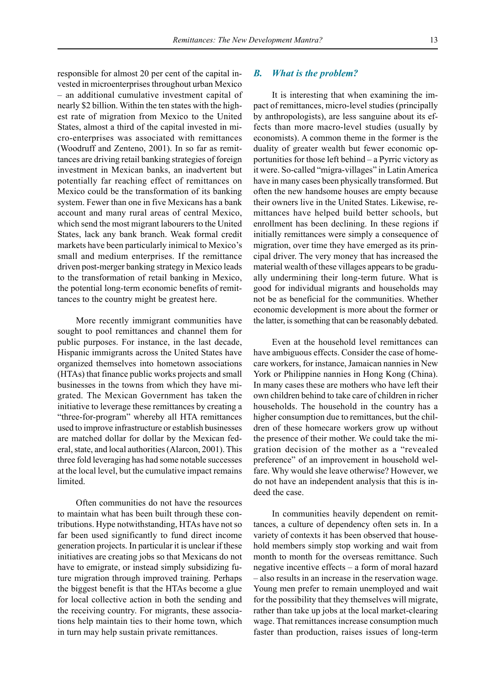responsible for almost 20 per cent of the capital invested in microenterprises throughout urban Mexico  $-$  an additional cumulative investment capital of nearly \$2 billion. Within the ten states with the highest rate of migration from Mexico to the United States, almost a third of the capital invested in micro-enterprises was associated with remittances (Woodruff and Zenteno, 2001). In so far as remittances are driving retail banking strategies of foreign investment in Mexican banks, an inadvertent but potentially far reaching effect of remittances on Mexico could be the transformation of its banking system. Fewer than one in five Mexicans has a bank account and many rural areas of central Mexico, which send the most migrant labourers to the United States, lack any bank branch. Weak formal credit markets have been particularly inimical to Mexico's small and medium enterprises. If the remittance driven post-merger banking strategy in Mexico leads to the transformation of retail banking in Mexico, the potential long-term economic benefits of remittances to the country might be greatest here.

More recently immigrant communities have sought to pool remittances and channel them for public purposes. For instance, in the last decade, Hispanic immigrants across the United States have organized themselves into hometown associations (HTAs) that finance public works projects and small businesses in the towns from which they have migrated. The Mexican Government has taken the initiative to leverage these remittances by creating a "three-for-program" whereby all HTA remittances used to improve infrastructure or establish businesses are matched dollar for dollar by the Mexican federal, state, and local authorities (Alarcon, 2001). This three fold leveraging has had some notable successes at the local level, but the cumulative impact remains limited.

Often communities do not have the resources to maintain what has been built through these contributions. Hype notwithstanding, HTAs have not so far been used significantly to fund direct income generation projects. In particular it is unclear if these initiatives are creating jobs so that Mexicans do not have to emigrate, or instead simply subsidizing future migration through improved training. Perhaps the biggest benefit is that the HTAs become a glue for local collective action in both the sending and the receiving country. For migrants, these associations help maintain ties to their home town, which in turn may help sustain private remittances.

#### *B. What is the problem?*

It is interesting that when examining the impact of remittances, micro-level studies (principally by anthropologists), are less sanguine about its effects than more macro-level studies (usually by economists). A common theme in the former is the duality of greater wealth but fewer economic opportunities for those left behind  $-\alpha$  Pyrric victory as it were. So-called "migra-villages" in Latin America have in many cases been physically transformed. But often the new handsome houses are empty because their owners live in the United States. Likewise, remittances have helped build better schools, but enrollment has been declining. In these regions if initially remittances were simply a consequence of migration, over time they have emerged as its principal driver. The very money that has increased the material wealth of these villages appears to be gradually undermining their long-term future. What is good for individual migrants and households may not be as beneficial for the communities. Whether economic development is more about the former or the latter, is something that can be reasonably debated.

Even at the household level remittances can have ambiguous effects. Consider the case of homecare workers, for instance, Jamaican nannies in New York or Philippine nannies in Hong Kong (China). In many cases these are mothers who have left their own children behind to take care of children in richer households. The household in the country has a higher consumption due to remittances, but the children of these homecare workers grow up without the presence of their mother. We could take the migration decision of the mother as a "revealed" preference" of an improvement in household welfare. Why would she leave otherwise? However, we do not have an independent analysis that this is indeed the case.

In communities heavily dependent on remittances, a culture of dependency often sets in. In a variety of contexts it has been observed that household members simply stop working and wait from month to month for the overseas remittance. Such negative incentive effects  $-$  a form of moral hazard – also results in an increase in the reservation wage. Young men prefer to remain unemployed and wait for the possibility that they themselves will migrate, rather than take up jobs at the local market-clearing wage. That remittances increase consumption much faster than production, raises issues of long-term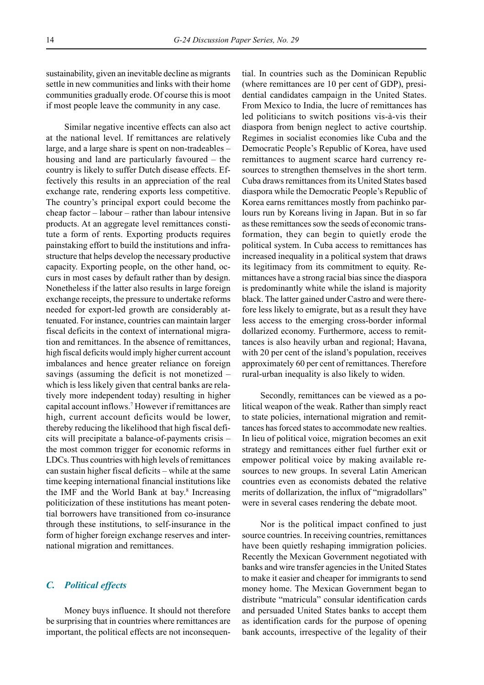sustainability, given an inevitable decline as migrants settle in new communities and links with their home communities gradually erode. Of course this is moot if most people leave the community in any case.

Similar negative incentive effects can also act at the national level. If remittances are relatively large, and a large share is spent on non-tradeables  $$ housing and land are particularly favoured  $-$  the country is likely to suffer Dutch disease effects. Effectively this results in an appreciation of the real exchange rate, rendering exports less competitive. The country's principal export could become the cheap factor  $-$  labour  $-$  rather than labour intensive products. At an aggregate level remittances constitute a form of rents. Exporting products requires painstaking effort to build the institutions and infrastructure that helps develop the necessary productive capacity. Exporting people, on the other hand, occurs in most cases by default rather than by design. Nonetheless if the latter also results in large foreign exchange receipts, the pressure to undertake reforms needed for export-led growth are considerably attenuated. For instance, countries can maintain larger fiscal deficits in the context of international migration and remittances. In the absence of remittances, high fiscal deficits would imply higher current account imbalances and hence greater reliance on foreign savings (assuming the deficit is not monetized  $-\frac{1}{2}$ which is less likely given that central banks are relatively more independent today) resulting in higher capital account inflows.7 However if remittances are high, current account deficits would be lower, thereby reducing the likelihood that high fiscal deficits will precipitate a balance-of-payments crisis  $$ the most common trigger for economic reforms in LDCs. Thus countries with high levels of remittances can sustain higher fiscal deficits  $-\text{while at the same}$ time keeping international financial institutions like the IMF and the World Bank at bay.<sup>8</sup> Increasing politicization of these institutions has meant potential borrowers have transitioned from co-insurance through these institutions, to self-insurance in the form of higher foreign exchange reserves and international migration and remittances.

#### *C. Political effects*

Money buys influence. It should not therefore be surprising that in countries where remittances are important, the political effects are not inconsequential. In countries such as the Dominican Republic (where remittances are 10 per cent of GDP), presidential candidates campaign in the United States. From Mexico to India, the lucre of remittances has led politicians to switch positions vis-à-vis their diaspora from benign neglect to active courtship. Regimes in socialist economies like Cuba and the Democratic People's Republic of Korea, have used remittances to augment scarce hard currency resources to strengthen themselves in the short term. Cuba draws remittances from its United States based diaspora while the Democratic People's Republic of Korea earns remittances mostly from pachinko parlours run by Koreans living in Japan. But in so far as these remittances sow the seeds of economic transformation, they can begin to quietly erode the political system. In Cuba access to remittances has increased inequality in a political system that draws its legitimacy from its commitment to equity. Remittances have a strong racial bias since the diaspora is predominantly white while the island is majority black. The latter gained under Castro and were therefore less likely to emigrate, but as a result they have less access to the emerging cross-border informal dollarized economy. Furthermore, access to remittances is also heavily urban and regional; Havana, with 20 per cent of the island's population, receives approximately 60 per cent of remittances. Therefore rural-urban inequality is also likely to widen.

Secondly, remittances can be viewed as a political weapon of the weak. Rather than simply react to state policies, international migration and remittances has forced states to accommodate new realties. In lieu of political voice, migration becomes an exit strategy and remittances either fuel further exit or empower political voice by making available resources to new groups. In several Latin American countries even as economists debated the relative merits of dollarization, the influx of "migradollars" were in several cases rendering the debate moot.

Nor is the political impact confined to just source countries. In receiving countries, remittances have been quietly reshaping immigration policies. Recently the Mexican Government negotiated with banks and wire transfer agencies in the United States to make it easier and cheaper for immigrants to send money home. The Mexican Government began to distribute "matricula" consular identification cards and persuaded United States banks to accept them as identification cards for the purpose of opening bank accounts, irrespective of the legality of their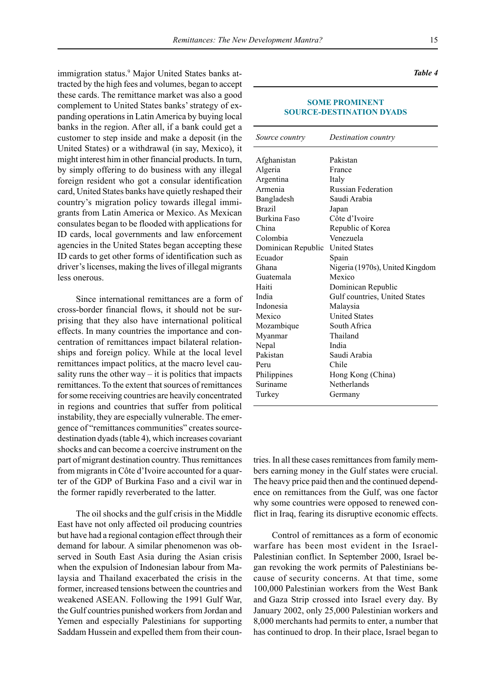immigration status.<sup>9</sup> Major United States banks attracted by the high fees and volumes, began to accept these cards. The remittance market was also a good complement to United States banks' strategy of expanding operations in Latin America by buying local banks in the region. After all, if a bank could get a customer to step inside and make a deposit (in the United States) or a withdrawal (in say, Mexico), it might interest him in other financial products. In turn, by simply offering to do business with any illegal foreign resident who got a consular identification card, United States banks have quietly reshaped their country's migration policy towards illegal immigrants from Latin America or Mexico. As Mexican consulates began to be flooded with applications for ID cards, local governments and law enforcement agencies in the United States began accepting these ID cards to get other forms of identification such as driver's licenses, making the lives of illegal migrants less onerous.

Since international remittances are a form of cross-border financial flows, it should not be surprising that they also have international political effects. In many countries the importance and concentration of remittances impact bilateral relationships and foreign policy. While at the local level remittances impact politics, at the macro level causality runs the other way  $-$  it is politics that impacts remittances. To the extent that sources of remittances for some receiving countries are heavily concentrated in regions and countries that suffer from political instability, they are especially vulnerable. The emergence of "remittances communities" creates sourcedestination dyads (table 4), which increases covariant shocks and can become a coercive instrument on the part of migrant destination country. Thus remittances from migrants in Côte d'Ivoire accounted for a quarter of the GDP of Burkina Faso and a civil war in the former rapidly reverberated to the latter.

The oil shocks and the gulf crisis in the Middle East have not only affected oil producing countries but have had a regional contagion effect through their demand for labour. A similar phenomenon was observed in South East Asia during the Asian crisis when the expulsion of Indonesian labour from Malaysia and Thailand exacerbated the crisis in the former, increased tensions between the countries and weakened ASEAN. Following the 1991 Gulf War, the Gulf countries punished workers from Jordan and Yemen and especially Palestinians for supporting Saddam Hussein and expelled them from their coun-

#### **SOME PROMINENT SOURCE-DESTINATION DYADS**

| Source country     | Destination country             |
|--------------------|---------------------------------|
| Afghanistan        | Pakistan                        |
| Algeria            | France                          |
| Argentina          | Italy                           |
| Armenia            | <b>Russian Federation</b>       |
| Bangladesh         | Saudi Arabia                    |
| <b>Brazil</b>      | Japan                           |
| Burkina Faso       | Côte d'Ivoire                   |
| China              | Republic of Korea               |
| Colombia           | Venezuela                       |
| Dominican Republic | <b>United States</b>            |
| Ecuador            | Spain                           |
| Ghana              | Nigeria (1970s), United Kingdom |
| Guatemala          | Mexico                          |
| Haiti              | Dominican Republic              |
| India              | Gulf countries, United States   |
| Indonesia          | Malaysia                        |
| Mexico             | <b>United States</b>            |
| Mozambique         | South Africa                    |
| Myanmar            | Thailand                        |
| Nepal              | India                           |
| Pakistan           | Saudi Arabia                    |
| Peru               | Chile                           |
| Philippines        | Hong Kong (China)               |
| Suriname           | Netherlands                     |
| Turkey             | Germany                         |

tries. In all these cases remittances from family members earning money in the Gulf states were crucial. The heavy price paid then and the continued dependence on remittances from the Gulf, was one factor why some countries were opposed to renewed conflict in Iraq, fearing its disruptive economic effects.

Control of remittances as a form of economic warfare has been most evident in the Israel-Palestinian conflict. In September 2000, Israel began revoking the work permits of Palestinians because of security concerns. At that time, some 100,000 Palestinian workers from the West Bank and Gaza Strip crossed into Israel every day. By January 2002, only 25,000 Palestinian workers and 8,000 merchants had permits to enter, a number that has continued to drop. In their place, Israel began to

*Table 4*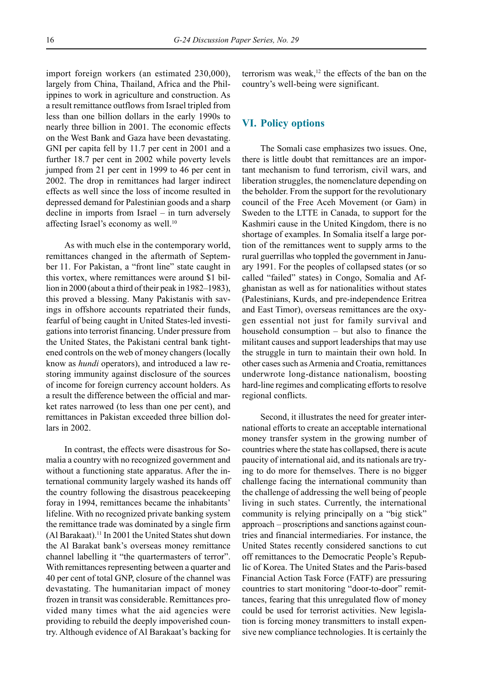import foreign workers (an estimated 230,000), largely from China, Thailand, Africa and the Philippines to work in agriculture and construction. As a result remittance outflows from Israel tripled from less than one billion dollars in the early 1990s to nearly three billion in 2001. The economic effects on the West Bank and Gaza have been devastating. GNI per capita fell by 11.7 per cent in 2001 and a further 18.7 per cent in 2002 while poverty levels jumped from 21 per cent in 1999 to 46 per cent in 2002. The drop in remittances had larger indirect effects as well since the loss of income resulted in depressed demand for Palestinian goods and a sharp decline in imports from Israel  $-$  in turn adversely affecting Israel's economy as well. $10$ 

As with much else in the contemporary world, remittances changed in the aftermath of September 11. For Pakistan, a "front line" state caught in this vortex, where remittances were around \$1 billion in 2000 (about a third of their peak in  $1982-1983$ ), this proved a blessing. Many Pakistanis with savings in offshore accounts repatriated their funds, fearful of being caught in United States-led investigations into terrorist financing. Under pressure from the United States, the Pakistani central bank tightened controls on the web of money changers (locally know as *hundi* operators), and introduced a law restoring immunity against disclosure of the sources of income for foreign currency account holders. As a result the difference between the official and market rates narrowed (to less than one per cent), and remittances in Pakistan exceeded three billion dollars in 2002.

In contrast, the effects were disastrous for Somalia a country with no recognized government and without a functioning state apparatus. After the international community largely washed its hands off the country following the disastrous peacekeeping foray in 1994, remittances became the inhabitants' lifeline. With no recognized private banking system the remittance trade was dominated by a single firm (Al Barakaat).11 In 2001 the United States shut down the Al Barakat bank's overseas money remittance channel labelling it "the quartermasters of terror". With remittances representing between a quarter and 40 per cent of total GNP, closure of the channel was devastating. The humanitarian impact of money frozen in transit was considerable. Remittances provided many times what the aid agencies were providing to rebuild the deeply impoverished country. Although evidence of Al Barakaat's backing for

terrorism was weak,<sup>12</sup> the effects of the ban on the country's well-being were significant.

#### **VI. Policy options**

The Somali case emphasizes two issues. One, there is little doubt that remittances are an important mechanism to fund terrorism, civil wars, and liberation struggles, the nomenclature depending on the beholder. From the support for the revolutionary council of the Free Aceh Movement (or Gam) in Sweden to the LTTE in Canada, to support for the Kashmiri cause in the United Kingdom, there is no shortage of examples. In Somalia itself a large portion of the remittances went to supply arms to the rural guerrillas who toppled the government in January 1991. For the peoples of collapsed states (or so called "failed" states) in Congo, Somalia and Afghanistan as well as for nationalities without states (Palestinians, Kurds, and pre-independence Eritrea and East Timor), overseas remittances are the oxygen essential not just for family survival and household consumption  $-$  but also to finance the militant causes and support leaderships that may use the struggle in turn to maintain their own hold. In other cases such as Armenia and Croatia, remittances underwrote long-distance nationalism, boosting hard-line regimes and complicating efforts to resolve regional conflicts.

Second, it illustrates the need for greater international efforts to create an acceptable international money transfer system in the growing number of countries where the state has collapsed, there is acute paucity of international aid, and its nationals are trying to do more for themselves. There is no bigger challenge facing the international community than the challenge of addressing the well being of people living in such states. Currently, the international community is relying principally on a "big stick" approach – proscriptions and sanctions against countries and financial intermediaries. For instance, the United States recently considered sanctions to cut off remittances to the Democratic People's Republic of Korea. The United States and the Paris-based Financial Action Task Force (FATF) are pressuring countries to start monitoring "door-to-door" remittances, fearing that this unregulated flow of money could be used for terrorist activities. New legislation is forcing money transmitters to install expensive new compliance technologies. It is certainly the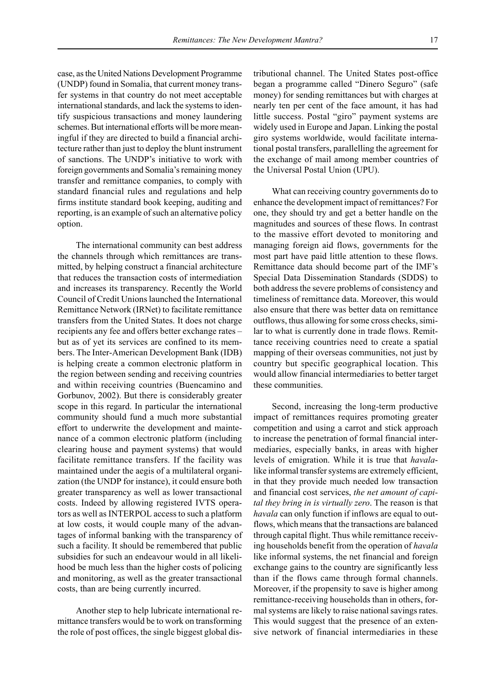case, as the United Nations Development Programme (UNDP) found in Somalia, that current money transfer systems in that country do not meet acceptable international standards, and lack the systems to identify suspicious transactions and money laundering schemes. But international efforts will be more meaningful if they are directed to build a financial architecture rather than just to deploy the blunt instrument of sanctions. The UNDP's initiative to work with foreign governments and Somalia's remaining money transfer and remittance companies, to comply with standard financial rules and regulations and help firms institute standard book keeping, auditing and reporting, is an example of such an alternative policy option.

The international community can best address the channels through which remittances are transmitted, by helping construct a financial architecture that reduces the transaction costs of intermediation and increases its transparency. Recently the World Council of Credit Unions launched the International Remittance Network (IRNet) to facilitate remittance transfers from the United States. It does not charge recipients any fee and offers better exchange rates – but as of yet its services are confined to its members. The Inter-American Development Bank (IDB) is helping create a common electronic platform in the region between sending and receiving countries and within receiving countries (Buencamino and Gorbunov, 2002). But there is considerably greater scope in this regard. In particular the international community should fund a much more substantial effort to underwrite the development and maintenance of a common electronic platform (including clearing house and payment systems) that would facilitate remittance transfers. If the facility was maintained under the aegis of a multilateral organization (the UNDP for instance), it could ensure both greater transparency as well as lower transactional costs. Indeed by allowing registered IVTS operators as well as INTERPOL access to such a platform at low costs, it would couple many of the advantages of informal banking with the transparency of such a facility. It should be remembered that public subsidies for such an endeavour would in all likelihood be much less than the higher costs of policing and monitoring, as well as the greater transactional costs, than are being currently incurred.

Another step to help lubricate international remittance transfers would be to work on transforming the role of post offices, the single biggest global distributional channel. The United States post-office began a programme called "Dinero Seguro" (safe money) for sending remittances but with charges at nearly ten per cent of the face amount, it has had little success. Postal "giro" payment systems are widely used in Europe and Japan. Linking the postal giro systems worldwide, would facilitate international postal transfers, parallelling the agreement for the exchange of mail among member countries of the Universal Postal Union (UPU).

What can receiving country governments do to enhance the development impact of remittances? For one, they should try and get a better handle on the magnitudes and sources of these flows. In contrast to the massive effort devoted to monitoring and managing foreign aid flows, governments for the most part have paid little attention to these flows. Remittance data should become part of the IMF's Special Data Dissemination Standards (SDDS) to both address the severe problems of consistency and timeliness of remittance data. Moreover, this would also ensure that there was better data on remittance outflows, thus allowing for some cross checks, similar to what is currently done in trade flows. Remittance receiving countries need to create a spatial mapping of their overseas communities, not just by country but specific geographical location. This would allow financial intermediaries to better target these communities.

Second, increasing the long-term productive impact of remittances requires promoting greater competition and using a carrot and stick approach to increase the penetration of formal financial intermediaries, especially banks, in areas with higher levels of emigration. While it is true that *havala*like informal transfer systems are extremely efficient, in that they provide much needed low transaction and financial cost services, *the net amount of capital they bring in is virtually zero*. The reason is that *havala* can only function if inflows are equal to outflows, which means that the transactions are balanced through capital flight. Thus while remittance receiving households benefit from the operation of *havala* like informal systems, the net financial and foreign exchange gains to the country are significantly less than if the flows came through formal channels. Moreover, if the propensity to save is higher among remittance-receiving households than in others, formal systems are likely to raise national savings rates. This would suggest that the presence of an extensive network of financial intermediaries in these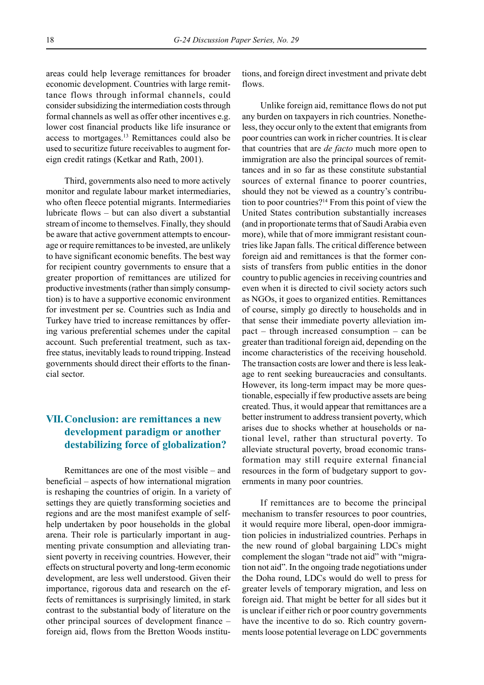areas could help leverage remittances for broader economic development. Countries with large remittance flows through informal channels, could consider subsidizing the intermediation costs through formal channels as well as offer other incentives e.g. lower cost financial products like life insurance or access to mortgages.13 Remittances could also be used to securitize future receivables to augment foreign credit ratings (Ketkar and Rath, 2001).

Third, governments also need to more actively monitor and regulate labour market intermediaries, who often fleece potential migrants. Intermediaries lubricate flows  $-$  but can also divert a substantial stream of income to themselves. Finally, they should be aware that active government attempts to encourage or require remittances to be invested, are unlikely to have significant economic benefits. The best way for recipient country governments to ensure that a greater proportion of remittances are utilized for productive investments (rather than simply consumption) is to have a supportive economic environment for investment per se. Countries such as India and Turkey have tried to increase remittances by offering various preferential schemes under the capital account. Such preferential treatment, such as taxfree status, inevitably leads to round tripping. Instead governments should direct their efforts to the financial sector.

## **VII.Conclusion: are remittances a new development paradigm or another destabilizing force of globalization?**

Remittances are one of the most visible  $-$  and  $b$ eneficial  $-$  aspects of how international migration is reshaping the countries of origin. In a variety of settings they are quietly transforming societies and regions and are the most manifest example of selfhelp undertaken by poor households in the global arena. Their role is particularly important in augmenting private consumption and alleviating transient poverty in receiving countries. However, their effects on structural poverty and long-term economic development, are less well understood. Given their importance, rigorous data and research on the effects of remittances is surprisingly limited, in stark contrast to the substantial body of literature on the other principal sources of development finance  $-\frac{1}{2}$ foreign aid, flows from the Bretton Woods institutions, and foreign direct investment and private debt flows.

Unlike foreign aid, remittance flows do not put any burden on taxpayers in rich countries. Nonetheless, they occur only to the extent that emigrants from poor countries can work in richer countries. It is clear that countries that are *de facto* much more open to immigration are also the principal sources of remittances and in so far as these constitute substantial sources of external finance to poorer countries, should they not be viewed as a country's contribution to poor countries?14 From this point of view the United States contribution substantially increases (and in proportionate terms that of Saudi Arabia even more), while that of more immigrant resistant countries like Japan falls. The critical difference between foreign aid and remittances is that the former consists of transfers from public entities in the donor country to public agencies in receiving countries and even when it is directed to civil society actors such as NGOs, it goes to organized entities. Remittances of course, simply go directly to households and in that sense their immediate poverty alleviation impact  $-$  through increased consumption  $-$  can be greater than traditional foreign aid, depending on the income characteristics of the receiving household. The transaction costs are lower and there is less leakage to rent seeking bureaucracies and consultants. However, its long-term impact may be more questionable, especially if few productive assets are being created. Thus, it would appear that remittances are a better instrument to address transient poverty, which arises due to shocks whether at households or national level, rather than structural poverty. To alleviate structural poverty, broad economic transformation may still require external financial resources in the form of budgetary support to governments in many poor countries.

If remittances are to become the principal mechanism to transfer resources to poor countries, it would require more liberal, open-door immigration policies in industrialized countries. Perhaps in the new round of global bargaining LDCs might complement the slogan "trade not aid" with "migration not aid". In the ongoing trade negotiations under the Doha round, LDCs would do well to press for greater levels of temporary migration, and less on foreign aid. That might be better for all sides but it is unclear if either rich or poor country governments have the incentive to do so. Rich country governments loose potential leverage on LDC governments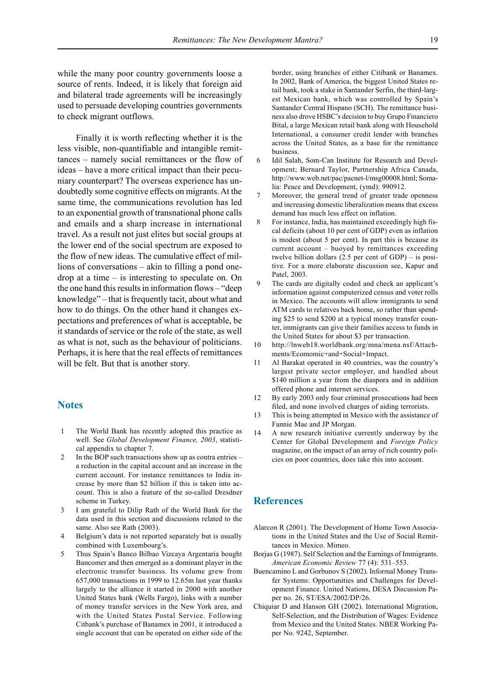while the many poor country governments loose a source of rents. Indeed, it is likely that foreign aid and bilateral trade agreements will be increasingly used to persuade developing countries governments to check migrant outflows.

Finally it is worth reflecting whether it is the less visible, non-quantifiable and intangible remittances – namely social remittances or the flow of ideas – have a more critical impact than their pecuniary counterpart? The overseas experience has undoubtedly some cognitive effects on migrants. At the same time, the communications revolution has led to an exponential growth of transnational phone calls and emails and a sharp increase in international travel. As a result not just elites but social groups at the lower end of the social spectrum are exposed to the flow of new ideas. The cumulative effect of millions of conversations  $-$  akin to filling a pond onedrop at a time  $-$  is interesting to speculate on. On the one hand this results in information flows – "deep" knowledge"  $-$  that is frequently tacit, about what and how to do things. On the other hand it changes expectations and preferences of what is acceptable, be it standards of service or the role of the state, as well as what is not, such as the behaviour of politicians. Perhaps, it is here that the real effects of remittances will be felt. But that is another story.

### **Notes**

- 1 The World Bank has recently adopted this practice as well. See *Global Development Finance, 2003*, statistical appendix to chapter 7.
- 2 In the BOP such transactions show up as contra entries  $$ a reduction in the capital account and an increase in the current account. For instance remittances to India increase by more than \$2 billion if this is taken into account. This is also a feature of the so-called Dresdner scheme in Turkey.
- 3 I am grateful to Dilip Rath of the World Bank for the data used in this section and discussions related to the same. Also see Rath (2003).
- 4 Belgium's data is not reported separately but is usually combined with Luxembourg's.
- 5 Thus Spainís Banco Bilbao Vizcaya Argentaria bought Bancomer and then emerged as a dominant player in the electronic transfer business. Its volume grew from 657,000 transactions in 1999 to 12.65m last year thanks largely to the alliance it started in 2000 with another United States bank (Wells Fargo), links with a number of money transfer services in the New York area, and with the United States Postal Service. Following Citbank's purchase of Banamex in 2001, it introduced a single account that can be operated on either side of the

border, using branches of either Citibank or Banamex. In 2002, Bank of America, the biggest United States retail bank, took a stake in Santander Serfin, the third-largest Mexican bank, which was controlled by Spain's Santander Central Hispano (SCH). The remittance business also drove HSBC's decision to buy Grupo Financiero Bital, a large Mexican retail bank along with Household International, a consumer credit lender with branches across the United States, as a base for the remittance business.

- 6 Idil Salah, Som-Can Institute for Research and Development; Bernard Taylor, Partnership Africa Canada, http://www.web.net/pac/pacnet-l/msg00008.html; Somalia: Peace and Development, (ymd): 990912.
- Moreover, the general trend of greater trade openness and increasing domestic liberalization means that excess demand has much less effect on inflation.
- 8 For instance, India, has maintained exceedingly high fiscal deficits (about 10 per cent of GDP) even as inflation is modest (about 5 per cent). In part this is because its current account  $-$  buoyed by remittances exceeding twelve billion dollars  $(2.5 \text{ per cent of GDP}) - \text{ is posi-}$ tive. For a more elaborate discussion see, Kapur and Patel, 2003.
- 9 The cards are digitally coded and check an applicant's information against computerized census and voter rolls in Mexico. The accounts will allow immigrants to send ATM cards to relatives back home, so rather than spending \$25 to send \$200 at a typical money transfer counter, immigrants can give their families access to funds in the United States for about \$3 per transaction.
- 10 http://lnweb18.worldbank.org/mna/mena.nsf/Attachments/Ecomomic+and+Social+Impact.
- 11 Al Barakat operated in 40 countries, was the country's largest private sector employer, and handled about \$140 million a year from the diaspora and in addition offered phone and internet services.
- 12 By early 2003 only four criminal prosecutions had been filed, and none involved charges of aiding terrorists.
- 13 This is being attempted in Mexico with the assistance of Fannie Mae and JP Morgan.
- 14 A new research initiative currently underway by the Center for Global Development and *Foreign Policy* magazine, on the impact of an array of rich country policies on poor countries, does take this into account.

### **References**

- Alarcon R (2001). The Development of Home Town Associations in the United States and the Use of Social Remittances in Mexico. Mimeo.
- Borjas G (1987). Self Selection and the Earnings of Immigrants. *American Economic Review 77 (4): 531-553.*
- Buencamino L and Gorbunov S (2002). Informal Money Transfer Systems: Opportunities and Challenges for Development Finance. United Nations, DESA Discussion Paper no. 26, ST/ESA/2002/DP/26.
- Chiquiar D and Hanson GH (2002). International Migration, Self-Selection, and the Distribution of Wages: Evidence from Mexico and the United States. NBER Working Paper No. 9242, September.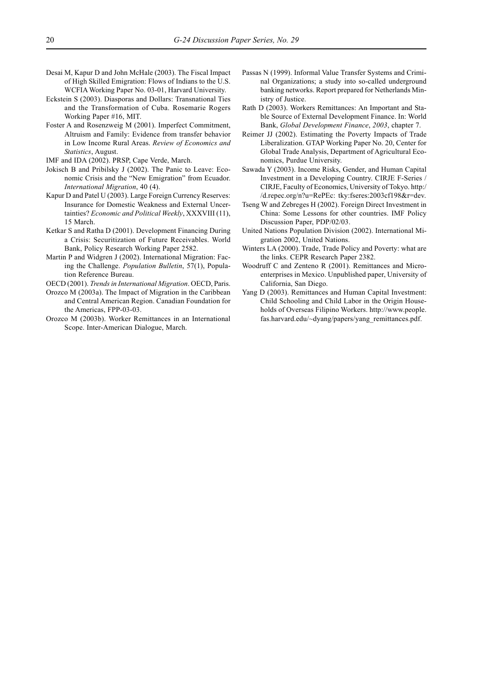- Desai M, Kapur D and John McHale (2003). The Fiscal Impact of High Skilled Emigration: Flows of Indians to the U.S. WCFIA Working Paper No. 03-01, Harvard University.
- Eckstein S (2003). Diasporas and Dollars: Transnational Ties and the Transformation of Cuba. Rosemarie Rogers Working Paper #16, MIT.
- Foster A and Rosenzweig M (2001). Imperfect Commitment, Altruism and Family: Evidence from transfer behavior in Low Income Rural Areas. *Review of Economics and Statistics*, August.
- IMF and IDA (2002). PRSP, Cape Verde, March.
- Jokisch B and Pribilsky J (2002). The Panic to Leave: Economic Crisis and the "New Emigration" from Ecuador. *International Migration*, 40 (4).
- Kapur D and Patel U (2003). Large Foreign Currency Reserves: Insurance for Domestic Weakness and External Uncertainties? *Economic and Political Weekly*, XXXVIII (11), 15 March.
- Ketkar S and Ratha D (2001). Development Financing During a Crisis: Securitization of Future Receivables. World Bank, Policy Research Working Paper 2582.
- Martin P and Widgren J (2002). International Migration: Facing the Challenge. *Population Bulletin*, 57(1), Population Reference Bureau.

OECD (2001). *Trends in International Migration*. OECD, Paris.

- Orozco M (2003a). The Impact of Migration in the Caribbean and Central American Region. Canadian Foundation for the Americas, FPP-03-03.
- Orozco M (2003b). Worker Remittances in an International Scope. Inter-American Dialogue, March.
- Passas N (1999). Informal Value Transfer Systems and Criminal Organizations; a study into so-called underground banking networks. Report prepared for Netherlands Ministry of Justice.
- Rath D (2003). Workers Remittances: An Important and Stable Source of External Development Finance. In: World Bank, *Global Development Finance*, *2003*, chapter 7.
- Reimer JJ (2002). Estimating the Poverty Impacts of Trade Liberalization. GTAP Working Paper No. 20, Center for Global Trade Analysis, Department of Agricultural Economics, Purdue University.
- Sawada Y (2003). Income Risks, Gender, and Human Capital Investment in a Developing Country. CIRJE F-Series / CIRJE, Faculty of Economics, University of Tokyo. http:/ /d.repec.org/n?u=RePEc: tky:fseres:2003cf198&r=dev.
- Tseng W and Zebreges H (2002). Foreign Direct Investment in China: Some Lessons for other countries. IMF Policy Discussion Paper, PDP/02/03.
- United Nations Population Division (2002). International Migration 2002, United Nations.
- Winters LA (2000). Trade, Trade Policy and Poverty: what are the links. CEPR Research Paper 2382.
- Woodruff C and Zenteno R (2001). Remittances and Microenterprises in Mexico. Unpublished paper, University of California, San Diego.
- Yang D (2003). Remittances and Human Capital Investment: Child Schooling and Child Labor in the Origin Households of Overseas Filipino Workers. http://www.people. fas.harvard.edu/~dyang/papers/yang\_remittances.pdf.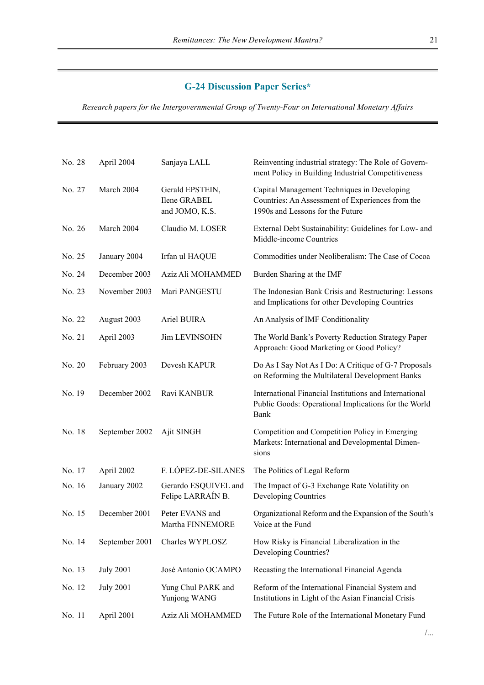## **G-24 Discussion Paper Series\***

Research papers for the Intergovernmental Group of Twenty-Four on International Monetary Affairs

| No. 28 | April 2004       | Sanjaya LALL                                      | Reinventing industrial strategy: The Role of Govern-<br>ment Policy in Building Industrial Competitiveness                          |
|--------|------------------|---------------------------------------------------|-------------------------------------------------------------------------------------------------------------------------------------|
| No. 27 | March 2004       | Gerald EPSTEIN,<br>Ilene GRABEL<br>and JOMO, K.S. | Capital Management Techniques in Developing<br>Countries: An Assessment of Experiences from the<br>1990s and Lessons for the Future |
| No. 26 | March 2004       | Claudio M. LOSER                                  | External Debt Sustainability: Guidelines for Low- and<br>Middle-income Countries                                                    |
| No. 25 | January 2004     | Irfan ul HAQUE                                    | Commodities under Neoliberalism: The Case of Cocoa                                                                                  |
| No. 24 | December 2003    | Aziz Ali MOHAMMED                                 | Burden Sharing at the IMF                                                                                                           |
| No. 23 | November 2003    | Mari PANGESTU                                     | The Indonesian Bank Crisis and Restructuring: Lessons<br>and Implications for other Developing Countries                            |
| No. 22 | August 2003      | Ariel BUIRA                                       | An Analysis of IMF Conditionality                                                                                                   |
| No. 21 | April 2003       | Jim LEVINSOHN                                     | The World Bank's Poverty Reduction Strategy Paper<br>Approach: Good Marketing or Good Policy?                                       |
| No. 20 | February 2003    | Devesh KAPUR                                      | Do As I Say Not As I Do: A Critique of G-7 Proposals<br>on Reforming the Multilateral Development Banks                             |
| No. 19 | December 2002    | Ravi KANBUR                                       | International Financial Institutions and International<br>Public Goods: Operational Implications for the World<br>Bank              |
| No. 18 | September 2002   | Ajit SINGH                                        | Competition and Competition Policy in Emerging<br>Markets: International and Developmental Dimen-<br>sions                          |
| No. 17 | April 2002       | F. LÓPEZ-DE-SILANES                               | The Politics of Legal Reform                                                                                                        |
| No. 16 | January 2002     | Gerardo ESQUIVEL and<br>Felipe LARRAÍN B.         | The Impact of G-3 Exchange Rate Volatility on<br>Developing Countries                                                               |
| No. 15 | December 2001    | Peter EVANS and<br>Martha FINNEMORE               | Organizational Reform and the Expansion of the South's<br>Voice at the Fund                                                         |
| No. 14 | September 2001   | Charles WYPLOSZ                                   | How Risky is Financial Liberalization in the<br>Developing Countries?                                                               |
| No. 13 | <b>July 2001</b> | José Antonio OCAMPO                               | Recasting the International Financial Agenda                                                                                        |
| No. 12 | <b>July 2001</b> | Yung Chul PARK and<br>Yunjong WANG                | Reform of the International Financial System and<br>Institutions in Light of the Asian Financial Crisis                             |
| No. 11 | April 2001       | Aziz Ali MOHAMMED                                 | The Future Role of the International Monetary Fund                                                                                  |